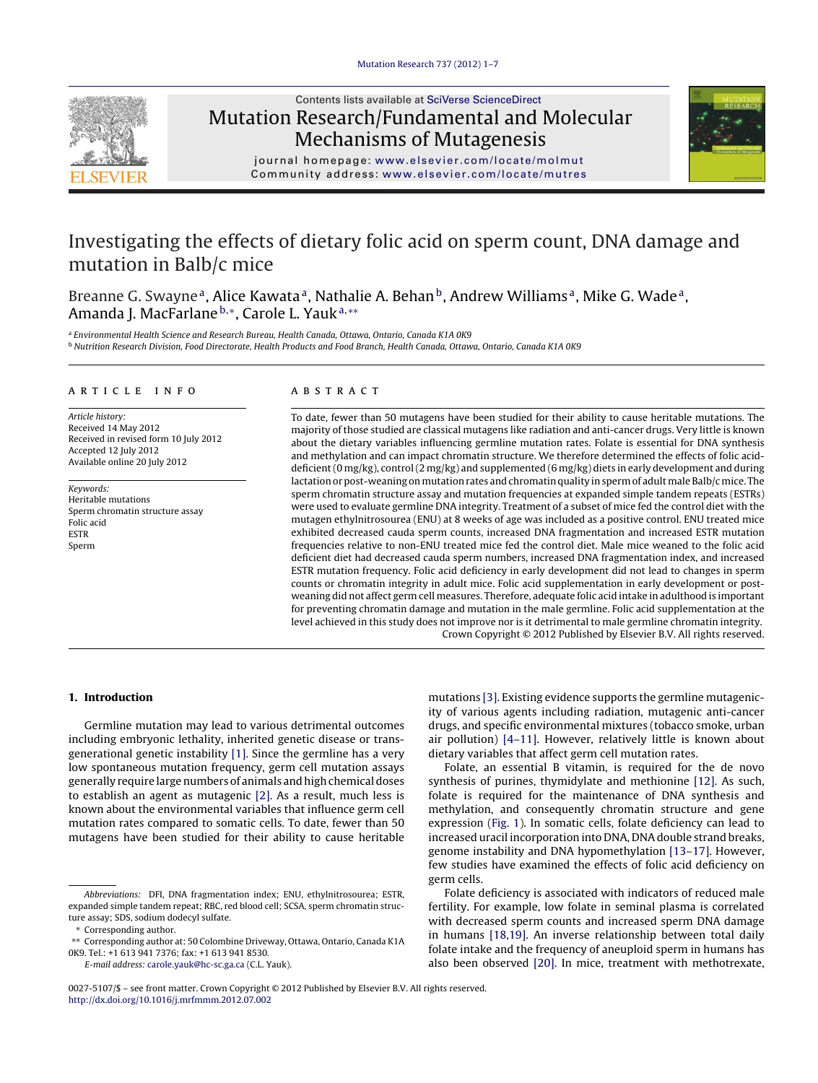

# Contents lists available at SciVerse [ScienceDirect](http://www.sciencedirect.com/science/journal/00275107) Mutation Research/Fundamental and Molecular Mechanisms of Mutagenesis



journal homepage: [www.elsevier.com/locate/molmut](http://www.elsevier.com/locate/molmut) Community address: [www.elsevier.com/locate/mutres](http://www.elsevier.com/locate/mutres)

# Investigating the effects of dietary folic acid on sperm count, DNA damage and mutation in Balb/c mice

Breanne G. Swayne<sup>a</sup>, Alice Kawata<sup>a</sup>, Nathalie A. Behan<sup>b</sup>, Andrew Williams<sup>a</sup>, Mike G. Wade<sup>a</sup>, Amanda J. MacFarlane b,\*, Carole L. Yauk<sup>a,\*\*</sup>

a Environmental Health Science and Research Bureau, Health Canada, Ottawa, Ontario, Canada K1A 0K9 **b Nutrition Research Division, Food Directorate, Health Products and Food Branch, Health Canada, Ottawa, Ontario, Canada K1A 0K9** 

# a r t i c l e i n f o

Article history: Received 14 May 2012 Received in revised form 10 July 2012 Accepted 12 July 2012 Available online 20 July 2012

Keywords: Heritable mutations Sperm chromatin structure assay Folic acid ESTR Sperm

# A B S T R A C T

To date, fewer than 50 mutagens have been studied for their ability to cause heritable mutations. The majority of those studied are classical mutagens like radiation and anti-cancer drugs. Very little is known about the dietary variables influencing germline mutation rates. Folate is essential for DNA synthesis and methylation and can impact chromatin structure. We therefore determined the effects of folic aciddeficient(0 mg/kg), control(2 mg/kg) and supplemented (6 mg/kg) diets in early development and during lactation or post-weaning on mutation rates and chromatin quality in sperm of adult male Balb/c mice. The sperm chromatin structure assay and mutation frequencies at expanded simple tandem repeats (ESTRs) were used to evaluate germline DNA integrity. Treatment of a subset of mice fed the control diet with the mutagen ethylnitrosourea (ENU) at 8 weeks of age was included as a positive control. ENU treated mice exhibited decreased cauda sperm counts, increased DNA fragmentation and increased ESTR mutation frequencies relative to non-ENU treated mice fed the control diet. Male mice weaned to the folic acid deficient diet had decreased cauda sperm numbers, increased DNA fragmentation index, and increased ESTR mutation frequency. Folic acid deficiency in early development did not lead to changes in sperm counts or chromatin integrity in adult mice. Folic acid supplementation in early development or postweaning did not affect germ cell measures. Therefore, adequate folic acid intake in adulthood is important for preventing chromatin damage and mutation in the male germline. Folic acid supplementation at the level achieved in this study does not improve nor is it detrimental to male germline chromatin integrity. Crown Copyright © 2012 Published by Elsevier B.V. All rights reserved.

# **1. Introduction**

Germline mutation may lead to various detrimental outcomes including embryonic lethality, inherited genetic disease or transgenerational genetic instability [\[1\].](#page-5-0) Since the germline has a very low spontaneous mutation frequency, germ cell mutation assays generally require large numbers of animals and high chemical doses to establish an agent as mutagenic [\[2\].](#page-5-0) As a result, much less is known about the environmental variables that influence germ cell mutation rates compared to somatic cells. To date, fewer than 50 mutagens have been studied for their ability to cause heritable

E-mail address: [carole.yauk@hc-sc.ga.ca](mailto:carole.yauk@hc-sc.ga.ca) (C.L. Yauk).

mutations [\[3\].](#page-5-0) Existing evidence supports the germline mutagenicity of various agents including radiation, mutagenic anti-cancer drugs, and specific environmental mixtures (tobacco smoke, urban air pollution) [\[4–11\].](#page-5-0) However, relatively little is known about dietary variables that affect germ cell mutation rates.

Folate, an essential B vitamin, is required for the de novo synthesis of purines, thymidylate and methionine [\[12\].](#page-5-0) As such, folate is required for the maintenance of DNA synthesis and methylation, and consequently chromatin structure and gene expression ([Fig.](#page-1-0) 1). In somatic cells, folate deficiency can lead to increased uracil incorporation into DNA, DNA double strand breaks, genome instability and DNA hypomethylation [\[13–17\].](#page-5-0) However, few studies have examined the effects of folic acid deficiency on germ cells.

Folate deficiency is associated with indicators of reduced male fertility. For example, low folate in seminal plasma is correlated with decreased sperm counts and increased sperm DNA damage in humans [\[18,19\].](#page-5-0) An inverse relationship between total daily folate intake and the frequency of aneuploid sperm in humans has also been observed [\[20\].](#page-5-0) In mice, treatment with methotrexate,

Abbreviations: DFI, DNA fragmentation index; ENU, ethylnitrosourea; ESTR, expanded simple tandem repeat; RBC, red blood cell; SCSA, sperm chromatin structure assay; SDS, sodium dodecyl sulfate.

<sup>∗</sup> Corresponding author.

<sup>∗∗</sup> Corresponding author at: 50 Colombine Driveway, Ottawa, Ontario, Canada K1A 0K9. Tel.: +1 613 941 7376; fax: +1 613 941 8530.

<sup>0027-5107/\$</sup> – see front matter. Crown Copyright © 2012 Published by Elsevier B.V. All rights reserved. [http://dx.doi.org/10.1016/j.mrfmmm.2012.07.002](dx.doi.org/10.1016/j.mrfmmm.2012.07.002)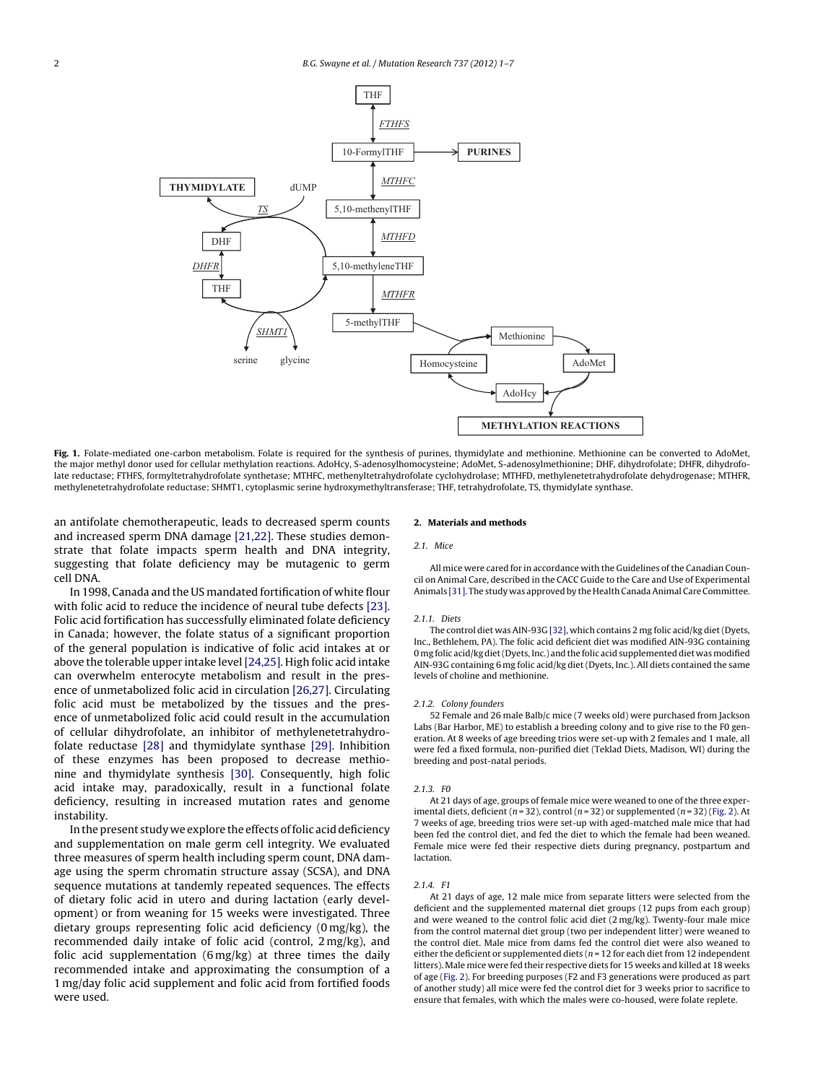<span id="page-1-0"></span>

Fig. 1. Folate-mediated one-carbon metabolism. Folate is required for the synthesis of purines, thymidylate and methionine. Methionine can be converted to AdoMet, the major methyl donor used for cellular methylation reactions. AdoHcy, S-adenosylhomocysteine; AdoMet, S-adenosylmethionine; DHF, dihydrofolate; DHFR, dihydrofolate reductase; FTHFS, formyltetrahydrofolate synthetase; MTHFC, methenyltetrahydrofolate cyclohydrolase; MTHFD, methylenetetrahydrofolate dehydrogenase; MTHFR, methylenetetrahydrofolate reductase; SHMT1, cytoplasmic serine hydroxymethyltransferase; THF, tetrahydrofolate, TS, thymidylate synthase.

an antifolate chemotherapeutic, leads to decreased sperm counts and increased sperm DNA damage [\[21,22\].](#page-5-0) These studies demonstrate that folate impacts sperm health and DNA integrity, suggesting that folate deficiency may be mutagenic to germ cell DNA.

In 1998, Canada and the US mandated fortification of white flour with folic acid to reduce the incidence of neural tube defects [\[23\].](#page-5-0) Folic acid fortification has successfully eliminated folate deficiency in Canada; however, the folate status of a significant proportion of the general population is indicative of folic acid intakes at or above the tolerable upper intake level[\[24,25\].](#page-5-0) High folic acid intake can overwhelm enterocyte metabolism and result in the presence of unmetabolized folic acid in circulation [\[26,27\].](#page-5-0) Circulating folic acid must be metabolized by the tissues and the presence of unmetabolized folic acid could result in the accumulation of cellular dihydrofolate, an inhibitor of methylenetetrahydrofolate reductase [\[28\]](#page-5-0) and thymidylate synthase [\[29\].](#page-5-0) Inhibition of these enzymes has been proposed to decrease methionine and thymidylate synthesis [\[30\].](#page-5-0) Consequently, high folic acid intake may, paradoxically, result in a functional folate deficiency, resulting in increased mutation rates and genome instability.

In the present study we explore the effects of folic acid deficiency and supplementation on male germ cell integrity. We evaluated three measures of sperm health including sperm count, DNA damage using the sperm chromatin structure assay (SCSA), and DNA sequence mutations at tandemly repeated sequences. The effects of dietary folic acid in utero and during lactation (early development) or from weaning for 15 weeks were investigated. Three dietary groups representing folic acid deficiency (0 mg/kg), the recommended daily intake of folic acid (control, 2 mg/kg), and folic acid supplementation (6 mg/kg) at three times the daily recommended intake and approximating the consumption of a 1 mg/day folic acid supplement and folic acid from fortified foods were used.

# **2. Materials and methods**

# 2.1. Mice

All mice were cared for in accordance with the Guidelines ofthe Canadian Council on Animal Care, described in the CACC Guide to the Care and Use of Experimental Animals [\[31\].](#page-5-0) The study was approved by the Health Canada Animal Care Committee.

#### 2.1.1. Diets

The control diet was AIN-93G [\[32\],](#page-5-0) which contains 2 mg folic acid/kg diet(Dyets, Inc., Bethlehem, PA). The folic acid deficient diet was modified AIN-93G containing 0 mg folic acid/kg diet (Dyets, Inc.) and the folic acid supplemented diet was modified AIN-93G containing 6 mg folic acid/kg diet (Dyets, Inc.). All diets contained the same levels of choline and methionine.

## 2.1.2. Colony founders

52 Female and 26 male Balb/c mice (7 weeks old) were purchased from Jackson Labs (Bar Harbor, ME) to establish a breeding colony and to give rise to the F0 generation. At 8 weeks of age breeding trios were set-up with 2 females and 1 male, all were fed a fixed formula, non-purified diet (Teklad Diets, Madison, WI) during the breeding and post-natal periods.

#### 2.1.3. F0

At 21 days of age, groups of female mice were weaned to one of the three experimental diets, deficient ( $n = 32$ ), control ( $n = 32$ ) or supplemented ( $n = 32$ ) ([Fig.](#page-2-0) 2). At 7 weeks of age, breeding trios were set-up with aged-matched male mice that had been fed the control diet, and fed the diet to which the female had been weaned. Female mice were fed their respective diets during pregnancy, postpartum and lactation.

# 2.1.4. F1

At 21 days of age, 12 male mice from separate litters were selected from the deficient and the supplemented maternal diet groups (12 pups from each group) and were weaned to the control folic acid diet (2 mg/kg). Twenty-four male mice from the control maternal diet group (two per independent litter) were weaned to the control diet. Male mice from dams fed the control diet were also weaned to either the deficient or supplemented diets ( $n = 12$  for each diet from 12 independent litters). Male mice were fed their respective diets for 15 weeks and killed at 18 weeks of age [\(Fig.](#page-2-0) 2). For breeding purposes (F2 and F3 generations were produced as part of another study) all mice were fed the control diet for 3 weeks prior to sacrifice to ensure that females, with which the males were co-housed, were folate replete.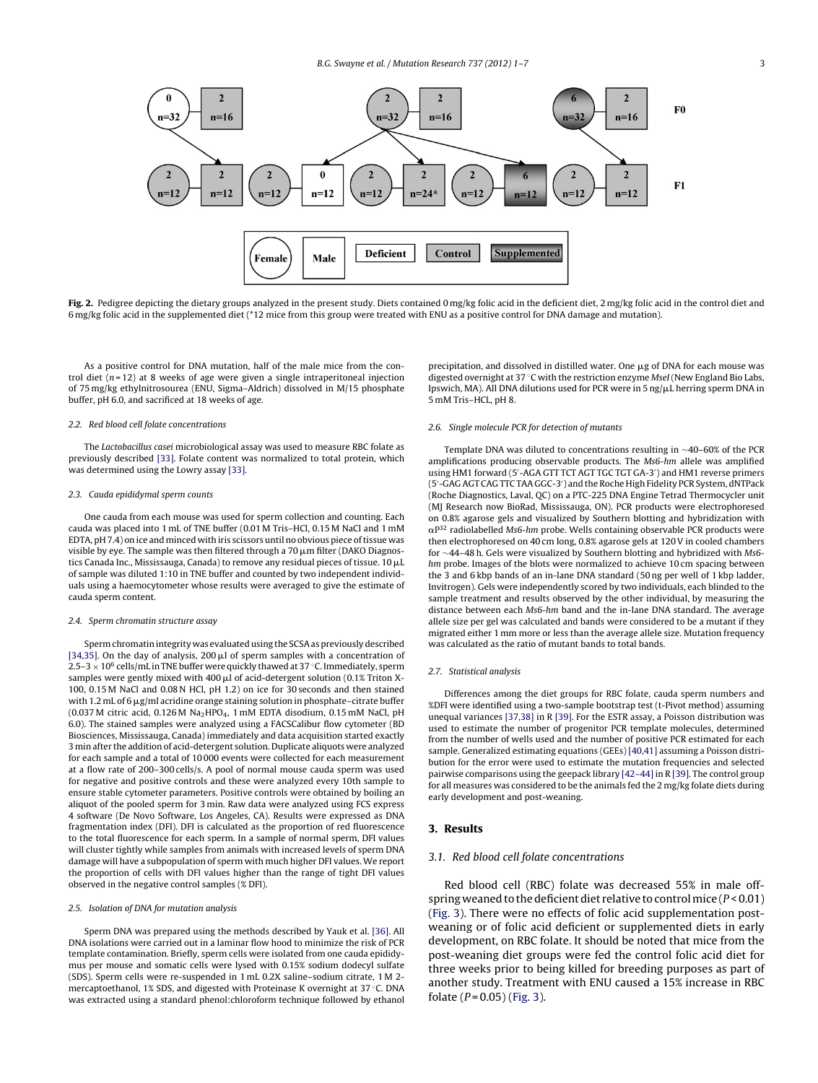<span id="page-2-0"></span>

Fig. 2. Pedigree depicting the dietary groups analyzed in the present study. Diets contained 0 mg/kg folic acid in the deficient diet, 2 mg/kg folic acid in the control diet and 6 mg/kg folic acid in the supplemented diet (\*12 mice from this group were treated with ENU as a positive control for DNA damage and mutation).

As a positive control for DNA mutation, half of the male mice from the control diet  $(n=12)$  at 8 weeks of age were given a single intraperitoneal injection of 75 mg/kg ethylnitrosourea (ENU, Sigma–Aldrich) dissolved in M/15 phosphate buffer, pH 6.0, and sacrificed at 18 weeks of age.

# 2.2. Red blood cell folate concentrations

The Lactobacillus casei microbiological assay was used to measure RBC folate as previously described [\[33\].](#page-5-0) Folate content was normalized to total protein, which was determined using the Lowry assay [\[33\].](#page-5-0)

# 2.3. Cauda epididymal sperm counts

One cauda from each mouse was used for sperm collection and counting. Each cauda was placed into 1 mL of TNE buffer (0.01 M Tris–HCl, 0.15 M NaCl and 1 mM EDTA, pH 7.4) on ice and minced with iris scissors until no obvious piece oftissue was visible by eye. The sample was then filtered through a 70  $\mu$ m filter (DAKO Diagnostics Canada Inc., Mississauga, Canada) to remove any residual pieces of tissue. 10  $\mu\hbox{L}$ of sample was diluted 1:10 in TNE buffer and counted by two independent individuals using a haemocytometer whose results were averaged to give the estimate of cauda sperm content.

#### 2.4. Sperm chromatin structure assay

Sperm chromatin integrity was evaluated using the SCSA as previously described [\[34,35\].](#page-5-0) On the day of analysis, 200  $\mu$ l of sperm samples with a concentration of  $2.5-3 \times 10^6$  cells/mL in TNE buffer were quickly thawed at 37 °C. Immediately, sperm samples were gently mixed with 400  $\mu$ l of acid-detergent solution (0.1% Triton X-100, 0.15 M NaCl and 0.08 N HCl, pH 1.2) on ice for 30 seconds and then stained with 1.2 mL of 6  $\mu$ g/ml acridine orange staining solution in phosphate–citrate buffer  $(0.037 \text{ M}$  citric acid,  $0.126 \text{ M}$  Na<sub>2</sub>HPO<sub>4</sub>, 1 mM EDTA disodium, 0.15 mM NaCl, pH 6.0). The stained samples were analyzed using a FACSCalibur flow cytometer (BD Biosciences, Mississauga, Canada) immediately and data acquisition started exactly 3 min after the addition of acid-detergent solution. Duplicate aliquots were analyzed for each sample and a total of 10 000 events were collected for each measurement at a flow rate of 200–300 cells/s. A pool of normal mouse cauda sperm was used for negative and positive controls and these were analyzed every 10th sample to ensure stable cytometer parameters. Positive controls were obtained by boiling an aliquot of the pooled sperm for 3 min. Raw data were analyzed using FCS express 4 software (De Novo Software, Los Angeles, CA). Results were expressed as DNA fragmentation index (DFI). DFI is calculated as the proportion of red fluorescence to the total fluorescence for each sperm. In a sample of normal sperm, DFI values will cluster tightly while samples from animals with increased levels of sperm DNA damage will have a subpopulation of sperm with much higher DFI values. We report the proportion of cells with DFI values higher than the range of tight DFI values observed in the negative control samples (% DFI).

## 2.5. Isolation of DNA for mutation analysis

Sperm DNA was prepared using the methods described by Yauk et al. [\[36\].](#page-5-0) All DNA isolations were carried out in a laminar flow hood to minimize the risk of PCR template contamination. Briefly, sperm cells were isolated from one cauda epididymus per mouse and somatic cells were lysed with 0.15% sodium dodecyl sulfate (SDS). Sperm cells were re-suspended in 1 mL 0.2X saline–sodium citrate, 1 M 2 mercaptoethanol, 1% SDS, and digested with Proteinase K overnight at 37 ◦C. DNA was extracted using a standard phenol:chloroform technique followed by ethanol

precipitation, and dissolved in distilled water. One  $\mu$ g of DNA for each mouse was digested overnight at 37 ◦C with the restriction enzyme MseI (New England Bio Labs, Ipswich, MA). All DNA dilutions used for PCR were in 5  $\frac{mg}{\mu}$ L herring sperm DNA in 5 mM Tris–HCL, pH 8.

# 2.6. Single molecule PCR for detection of mutants

Template DNA was diluted to concentrations resulting in ∼40–60% of the PCR amplifications producing observable products. The Ms6-hm allele was amplified using HM1 forward (5 -AGA GTT TCT AGT TGC TGT GA-3 ) and HM1 reverse primers (5 -GAG AGT CAG TTC TAA GGC-3 ) and the Roche High Fidelity PCR System, dNTPack (Roche Diagnostics, Laval, QC) on a PTC-225 DNA Engine Tetrad Thermocycler unit (MJ Research now BioRad, Mississauga, ON). PCR products were electrophoresed on 0.8% agarose gels and visualized by Southern blotting and hybridization with  $\alpha$ <sup>p32</sup> radiolabelled Ms6-hm probe. Wells containing observable PCR products were then electrophoresed on 40 cm long, 0.8% agarose gels at 120V in cooled chambers for ∼44–48 h. Gels were visualized by Southern blotting and hybridized with Ms6 hm probe. Images of the blots were normalized to achieve 10 cm spacing between the 3 and 6 kbp bands of an in-lane DNA standard (50 ng per well of 1 kbp ladder, Invitrogen). Gels were independently scored by two individuals, each blinded to the sample treatment and results observed by the other individual, by measuring the distance between each Ms6-hm band and the in-lane DNA standard. The average allele size per gel was calculated and bands were considered to be a mutant if they migrated either 1 mm more or less than the average allele size. Mutation frequency was calculated as the ratio of mutant bands to total bands.

## 2.7. Statistical analysis

Differences among the diet groups for RBC folate, cauda sperm numbers and %DFI were identified using a two-sample bootstrap test (t-Pivot method) assuming unequal variances [\[37,38\]](#page-5-0) in R [\[39\].](#page-6-0) For the ESTR assay, a Poisson distribution was used to estimate the number of progenitor PCR template molecules, determined from the number of wells used and the number of positive PCR estimated for each sample. Generalized estimating equations (GEEs) [\[40,41\]](#page-6-0) assuming a Poisson distribution for the error were used to estimate the mutation frequencies and selected pairwise comparisons using the geepack library [\[42–44\]](#page-6-0) in R [\[39\].](#page-6-0) The control group for all measures was considered to be the animals fed the 2 mg/kg folate diets during early development and post-weaning.

# **3. Results**

#### 3.1. Red blood cell folate concentrations

Red blood cell (RBC) folate was decreased 55% in male offspring weaned to the deficient diet relative to control mice ( $P < 0.01$ ) [\(Fig.](#page-3-0) 3). There were no effects of folic acid supplementation postweaning or of folic acid deficient or supplemented diets in early development, on RBC folate. It should be noted that mice from the post-weaning diet groups were fed the control folic acid diet for three weeks prior to being killed for breeding purposes as part of another study. Treatment with ENU caused a 15% increase in RBC folate  $(P = 0.05)$  [\(Fig.](#page-3-0) 3).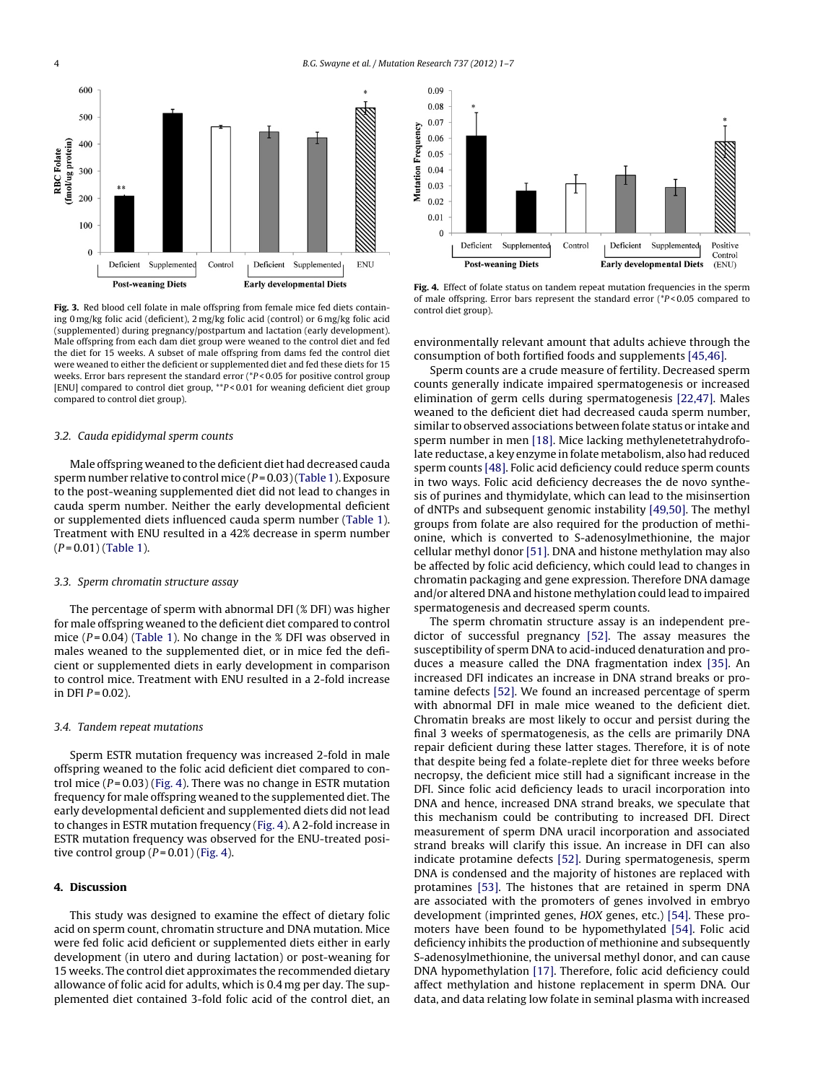<span id="page-3-0"></span>

**Fig. 3.** Red blood cell folate in male offspring from female mice fed diets containing 0 mg/kg folic acid (deficient), 2 mg/kg folic acid (control) or 6 mg/kg folic acid (supplemented) during pregnancy/postpartum and lactation (early development). Male offspring from each dam diet group were weaned to the control diet and fed the diet for 15 weeks. A subset of male offspring from dams fed the control diet were weaned to either the deficient or supplemented diet and fed these diets for 15 weeks. Error bars represent the standard error (\*P < 0.05 for positive control group [ENU] compared to control diet group, \*\*P < 0.01 for weaning deficient diet group compared to control diet group).

# 3.2. Cauda epididymal sperm counts

Male offspring weaned to the deficient diet had decreased cauda sperm number relative to control mice  $(P=0.03)$  [\(Table](#page-4-0) 1). Exposure to the post-weaning supplemented diet did not lead to changes in cauda sperm number. Neither the early developmental deficient or supplemented diets influenced cauda sperm number ([Table](#page-4-0) 1). Treatment with ENU resulted in a 42% decrease in sperm number  $(P = 0.01)$  [\(Table](#page-4-0) 1).

# 3.3. Sperm chromatin structure assay

The percentage of sperm with abnormal DFI (% DFI) was higher for male offspring weaned to the deficient diet compared to control mice  $(P=0.04)$  ([Table](#page-4-0) 1). No change in the % DFI was observed in males weaned to the supplemented diet, or in mice fed the deficient or supplemented diets in early development in comparison to control mice. Treatment with ENU resulted in a 2-fold increase in DFI  $P = 0.02$ ).

# 3.4. Tandem repeat mutations

Sperm ESTR mutation frequency was increased 2-fold in male offspring weaned to the folic acid deficient diet compared to control mice  $(P = 0.03)$  (Fig. 4). There was no change in ESTR mutation frequency for male offspring weaned to the supplemented diet. The early developmental deficient and supplemented diets did not lead to changes in ESTR mutation frequency (Fig. 4). A 2-fold increase in ESTR mutation frequency was observed for the ENU-treated positive control group  $(P=0.01)$  (Fig. 4).

# **4. Discussion**

This study was designed to examine the effect of dietary folic acid on sperm count, chromatin structure and DNA mutation. Mice were fed folic acid deficient or supplemented diets either in early development (in utero and during lactation) or post-weaning for 15 weeks. The control diet approximates the recommended dietary allowance of folic acid for adults, which is 0.4 mg per day. The supplemented diet contained 3-fold folic acid of the control diet, an



**Fig. 4.** Effect of folate status on tandem repeat mutation frequencies in the sperm of male offspring. Error bars represent the standard error (\*P < 0.05 compared to control diet group).

environmentally relevant amount that adults achieve through the consumption of both fortified foods and supplements [\[45,46\].](#page-6-0)

Sperm counts are a crude measure of fertility. Decreased sperm counts generally indicate impaired spermatogenesis or increased elimination of germ cells during spermatogenesis [\[22,47\].](#page-5-0) Males weaned to the deficient diet had decreased cauda sperm number, similar to observed associations between folate status or intake and sperm number in men [\[18\].](#page-5-0) Mice lacking methylenetetrahydrofolate reductase, a key enzyme in folate metabolism, also had reduced sperm counts [\[48\].](#page-6-0) Folic acid deficiency could reduce sperm counts in two ways. Folic acid deficiency decreases the de novo synthesis of purines and thymidylate, which can lead to the misinsertion of dNTPs and subsequent genomic instability [\[49,50\].](#page-6-0) The methyl groups from folate are also required for the production of methionine, which is converted to S-adenosylmethionine, the major cellular methyl donor [\[51\].](#page-6-0) DNA and histone methylation may also be affected by folic acid deficiency, which could lead to changes in chromatin packaging and gene expression. Therefore DNA damage and/or altered DNA and histone methylation could lead to impaired spermatogenesis and decreased sperm counts.

The sperm chromatin structure assay is an independent predictor of successful pregnancy [\[52\].](#page-6-0) The assay measures the susceptibility of sperm DNA to acid-induced denaturation and produces a measure called the DNA fragmentation index [\[35\].](#page-5-0) An increased DFI indicates an increase in DNA strand breaks or protamine defects [\[52\].](#page-6-0) We found an increased percentage of sperm with abnormal DFI in male mice weaned to the deficient diet. Chromatin breaks are most likely to occur and persist during the final 3 weeks of spermatogenesis, as the cells are primarily DNA repair deficient during these latter stages. Therefore, it is of note that despite being fed a folate-replete diet for three weeks before necropsy, the deficient mice still had a significant increase in the DFI. Since folic acid deficiency leads to uracil incorporation into DNA and hence, increased DNA strand breaks, we speculate that this mechanism could be contributing to increased DFI. Direct measurement of sperm DNA uracil incorporation and associated strand breaks will clarify this issue. An increase in DFI can also indicate protamine defects [\[52\].](#page-6-0) During spermatogenesis, sperm DNA is condensed and the majority of histones are replaced with protamines [\[53\].](#page-6-0) The histones that are retained in sperm DNA are associated with the promoters of genes involved in embryo development (imprinted genes, HOX genes, etc.) [\[54\].](#page-6-0) These promoters have been found to be hypomethylated [\[54\].](#page-6-0) Folic acid deficiency inhibits the production of methionine and subsequently S-adenosylmethionine, the universal methyl donor, and can cause DNA hypomethylation [\[17\].](#page-5-0) Therefore, folic acid deficiency could affect methylation and histone replacement in sperm DNA. Our data, and data relating low folate in seminal plasma with increased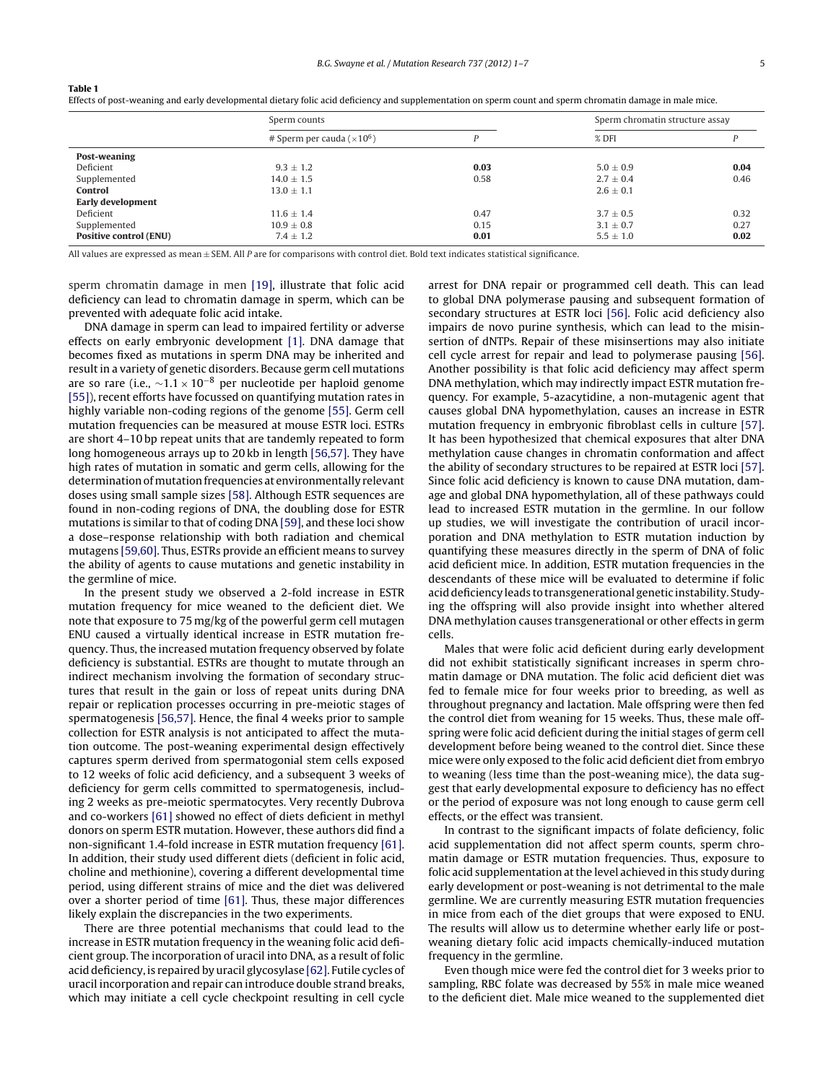|                               | Sperm counts                                   |      | Sperm chromatin structure assay |      |
|-------------------------------|------------------------------------------------|------|---------------------------------|------|
|                               | # Sperm per cauda ( $\times$ 10 <sup>6</sup> ) | D    | $%$ DFI                         | P    |
| Post-weaning                  |                                                |      |                                 |      |
| Deficient                     | $9.3 \pm 1.2$                                  | 0.03 | $5.0 \pm 0.9$                   | 0.04 |
| Supplemented                  | $14.0 \pm 1.5$                                 | 0.58 | $2.7 \pm 0.4$                   | 0.46 |
| Control                       | $13.0 \pm 1.1$                                 |      | $2.6 \pm 0.1$                   |      |
| Early development             |                                                |      |                                 |      |
| Deficient                     | $11.6 \pm 1.4$                                 | 0.47 | $3.7 \pm 0.5$                   | 0.32 |
| Supplemented                  | $10.9 \pm 0.8$                                 | 0.15 | $3.1 \pm 0.7$                   | 0.27 |
| <b>Positive control (ENU)</b> | $7.4 \pm 1.2$                                  | 0.01 | $5.5 \pm 1.0$                   | 0.02 |
|                               |                                                |      |                                 |      |

Effects of post-weaning and early developmental dietary folic acid deficiency and supplementation on sperm count and sperm chromatin damage in male mice.

All values are expressed as mean  $\pm$  SEM. All P are for comparisons with control diet. Bold text indicates statistical significance.

sperm chromatin damage in men [\[19\],](#page-5-0) illustrate that folic acid deficiency can lead to chromatin damage in sperm, which can be prevented with adequate folic acid intake.

<span id="page-4-0"></span>**Table 1**

DNA damage in sperm can lead to impaired fertility or adverse effects on early embryonic development [\[1\].](#page-5-0) DNA damage that becomes fixed as mutations in sperm DNA may be inherited and result in a variety of genetic disorders. Because germ cell mutations are so rare (i.e.,  $\sim$ 1.1 × 10<sup>-8</sup> per nucleotide per haploid genome [\[55\]\),](#page-6-0) recent efforts have focussed on quantifying mutation rates in highly variable non-coding regions of the genome [\[55\].](#page-6-0) Germ cell mutation frequencies can be measured at mouse ESTR loci. ESTRs are short 4–10 bp repeat units that are tandemly repeated to form long homogeneous arrays up to 20 kb in length [\[56,57\].](#page-6-0) They have high rates of mutation in somatic and germ cells, allowing for the determination of mutation frequencies at environmentally relevant doses using small sample sizes [\[58\].](#page-6-0) Although ESTR sequences are found in non-coding regions of DNA, the doubling dose for ESTR mutations is similar to that of coding DNA [\[59\],](#page-6-0) and these loci show a dose–response relationship with both radiation and chemical mutagens [\[59,60\].](#page-6-0) Thus, ESTRs provide an efficient means to survey the ability of agents to cause mutations and genetic instability in the germline of mice.

In the present study we observed a 2-fold increase in ESTR mutation frequency for mice weaned to the deficient diet. We note that exposure to 75 mg/kg of the powerful germ cell mutagen ENU caused a virtually identical increase in ESTR mutation frequency. Thus, the increased mutation frequency observed by folate deficiency is substantial. ESTRs are thought to mutate through an indirect mechanism involving the formation of secondary structures that result in the gain or loss of repeat units during DNA repair or replication processes occurring in pre-meiotic stages of spermatogenesis [\[56,57\].](#page-6-0) Hence, the final 4 weeks prior to sample collection for ESTR analysis is not anticipated to affect the mutation outcome. The post-weaning experimental design effectively captures sperm derived from spermatogonial stem cells exposed to 12 weeks of folic acid deficiency, and a subsequent 3 weeks of deficiency for germ cells committed to spermatogenesis, including 2 weeks as pre-meiotic spermatocytes. Very recently Dubrova and co-workers [\[61\]](#page-6-0) showed no effect of diets deficient in methyl donors on sperm ESTR mutation. However, these authors did find a non-significant 1.4-fold increase in ESTR mutation frequency [\[61\].](#page-6-0) In addition, their study used different diets (deficient in folic acid, choline and methionine), covering a different developmental time period, using different strains of mice and the diet was delivered over a shorter period of time [\[61\].](#page-6-0) Thus, these major differences likely explain the discrepancies in the two experiments.

There are three potential mechanisms that could lead to the increase in ESTR mutation frequency in the weaning folic acid deficient group. The incorporation of uracil into DNA, as a result of folic acid deficiency, is repaired by uracil glycosylase [\[62\].](#page-6-0) Futile cycles of uracil incorporation and repair can introduce double strand breaks, which may initiate a cell cycle checkpoint resulting in cell cycle

arrest for DNA repair or programmed cell death. This can lead to global DNA polymerase pausing and subsequent formation of secondary structures at ESTR loci [\[56\].](#page-6-0) Folic acid deficiency also impairs de novo purine synthesis, which can lead to the misinsertion of dNTPs. Repair of these misinsertions may also initiate cell cycle arrest for repair and lead to polymerase pausing [\[56\].](#page-6-0) Another possibility is that folic acid deficiency may affect sperm DNA methylation, which may indirectly impact ESTR mutation frequency. For example, 5-azacytidine, a non-mutagenic agent that causes global DNA hypomethylation, causes an increase in ESTR mutation frequency in embryonic fibroblast cells in culture [\[57\].](#page-6-0) It has been hypothesized that chemical exposures that alter DNA methylation cause changes in chromatin conformation and affect the ability of secondary structures to be repaired at ESTR loci [\[57\].](#page-6-0) Since folic acid deficiency is known to cause DNA mutation, damage and global DNA hypomethylation, all of these pathways could lead to increased ESTR mutation in the germline. In our follow up studies, we will investigate the contribution of uracil incorporation and DNA methylation to ESTR mutation induction by quantifying these measures directly in the sperm of DNA of folic acid deficient mice. In addition, ESTR mutation frequencies in the descendants of these mice will be evaluated to determine if folic acid deficiency leads to transgenerational genetic instability. Studying the offspring will also provide insight into whether altered DNA methylation causes transgenerational or other effects in germ cells.

Males that were folic acid deficient during early development did not exhibit statistically significant increases in sperm chromatin damage or DNA mutation. The folic acid deficient diet was fed to female mice for four weeks prior to breeding, as well as throughout pregnancy and lactation. Male offspring were then fed the control diet from weaning for 15 weeks. Thus, these male offspring were folic acid deficient during the initial stages of germ cell development before being weaned to the control diet. Since these mice were only exposed to the folic acid deficient diet from embryo to weaning (less time than the post-weaning mice), the data suggest that early developmental exposure to deficiency has no effect or the period of exposure was not long enough to cause germ cell effects, or the effect was transient.

In contrast to the significant impacts of folate deficiency, folic acid supplementation did not affect sperm counts, sperm chromatin damage or ESTR mutation frequencies. Thus, exposure to folic acid supplementation at the level achieved in this study during early development or post-weaning is not detrimental to the male germline. We are currently measuring ESTR mutation frequencies in mice from each of the diet groups that were exposed to ENU. The results will allow us to determine whether early life or postweaning dietary folic acid impacts chemically-induced mutation frequency in the germline.

Even though mice were fed the control diet for 3 weeks prior to sampling, RBC folate was decreased by 55% in male mice weaned to the deficient diet. Male mice weaned to the supplemented diet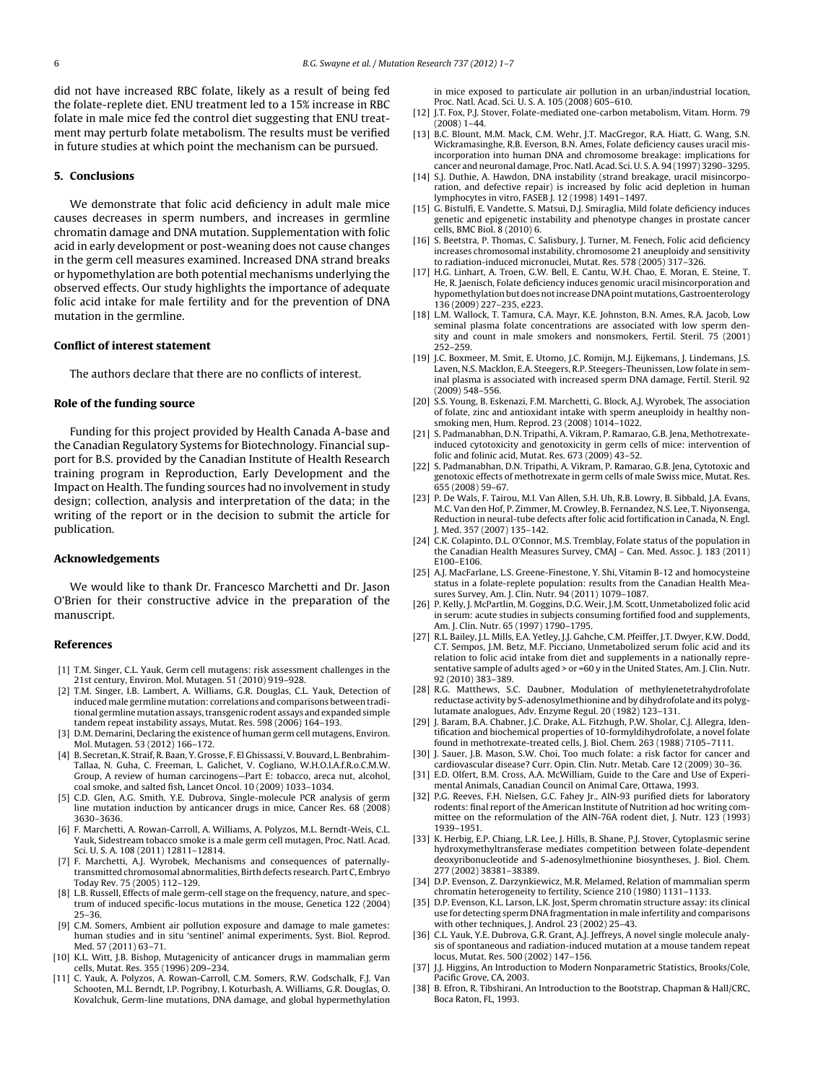<span id="page-5-0"></span>did not have increased RBC folate, likely as a result of being fed the folate-replete diet. ENU treatment led to a 15% increase in RBC folate in male mice fed the control diet suggesting that ENU treatment may perturb folate metabolism. The results must be verified in future studies at which point the mechanism can be pursued.

# **5. Conclusions**

We demonstrate that folic acid deficiency in adult male mice causes decreases in sperm numbers, and increases in germline chromatin damage and DNA mutation. Supplementation with folic acid in early development or post-weaning does not cause changes in the germ cell measures examined. Increased DNA strand breaks or hypomethylation are both potential mechanisms underlying the observed effects. Our study highlights the importance of adequate folic acid intake for male fertility and for the prevention of DNA mutation in the germline.

## **Conflict of interest statement**

The authors declare that there are no conflicts of interest.

# **Role of the funding source**

Funding for this project provided by Health Canada A-base and the Canadian Regulatory Systems for Biotechnology. Financial support for B.S. provided by the Canadian Institute of Health Research training program in Reproduction, Early Development and the Impact on Health. The funding sources had no involvement in study design; collection, analysis and interpretation of the data; in the writing of the report or in the decision to submit the article for publication.

# **Acknowledgements**

We would like to thank Dr. Francesco Marchetti and Dr. Jason O'Brien for their constructive advice in the preparation of the manuscript.

# **References**

- [1] T.M. Singer, C.L. Yauk, Germ cell mutagens: risk assessment challenges in the 21st century, Environ. Mol. Mutagen. 51 (2010) 919–928.
- [2] T.M. Singer, I.B. Lambert, A. Williams, G.R. Douglas, C.L. Yauk, Detection of induced male germline mutation: correlations and comparisons between traditional germlinemutationassays,transgenic rodent assays andexpandedsimple tandem repeat instability assays, Mutat. Res. 598 (2006) 164–193.
- [3] D.M. Demarini, Declaring the existence of human germ cell mutagens, Environ. Mol. Mutagen. 53 (2012) 166–172.
- [4] B. Secretan, K. Straif, R. Baan, Y. Grosse, F. El Ghissassi,V. Bouvard, L. Benbrahim-Tallaa, N. Guha, C. Freeman, L. Galichet, V. Cogliano, W.H.O.I.A.f.R.o.C.M.W. Group, A review of human carcinogens—Part E: tobacco, areca nut, alcohol, coal smoke, and salted fish, Lancet Oncol. 10 (2009) 1033–1034.
- [5] C.D. Glen, A.G. Smith, Y.E. Dubrova, Single-molecule PCR analysis of germ line mutation induction by anticancer drugs in mice, Cancer Res. 68 (2008) 3630–3636.
- [6] F. Marchetti, A. Rowan-Carroll, A. Williams, A. Polyzos, M.L. Berndt-Weis, C.L. Yauk, Sidestream tobacco smoke is a male germ cell mutagen, Proc. Natl. Acad. Sci. U. S. A. 108 (2011) 12811–12814.
- [7] F. Marchetti, A.J. Wyrobek, Mechanisms and consequences of paternallytransmitted chromosomal abnormalities, Birth defects research. Part C, Embryo Today Rev. 75 (2005) 112–129.
- [8] L.B. Russell, Effects of male germ-cell stage on the frequency, nature, and spectrum of induced specific-locus mutations in the mouse, Genetica 122 (2004) 25–36.
- C.M. Somers, Ambient air pollution exposure and damage to male gametes: human studies and in situ 'sentinel' animal experiments, Syst. Biol. Reprod. Med. 57 (2011) 63–71.
- [10] K.L. Witt, J.B. Bishop, Mutagenicity of anticancer drugs in mammalian germ cells, Mutat. Res. 355 (1996) 209–234.
- [11] C. Yauk, A. Polyzos, A. Rowan-Carroll, C.M. Somers, R.W. Godschalk, F.J. Van Schooten, M.L. Berndt, I.P. Pogribny, I. Koturbash, A. Williams, G.R. Douglas, O. Kovalchuk, Germ-line mutations, DNA damage, and global hypermethylation

in mice exposed to particulate air pollution in an urban/industrial location, Proc. Natl. Acad. Sci. U. S. A. 105 (2008) 605–610.

- [12] J.T. Fox, P.J. Stover, Folate-mediated one-carbon metabolism, Vitam. Horm. 79  $(2008)$  1-44.
- [13] B.C. Blount, M.M. Mack, C.M. Wehr, J.T. MacGregor, R.A. Hiatt, G. Wang, S.N. Wickramasinghe, R.B. Everson, B.N. Ames, Folate deficiency causes uracil misincorporation into human DNA and chromosome breakage: implications for cancer and neuronal damage, Proc. Natl. Acad. Sci. U. S. A. 94 (1997) 3290–3295.
- [14] S.J. Duthie, A. Hawdon, DNA instability (strand breakage, uracil misincorporation, and defective repair) is increased by folic acid depletion in human lymphocytes in vitro, FASEB J. 12 (1998) 1491–1497.
- [15] G. Bistulfi, E. Vandette, S. Matsui, D.J. Smiraglia, Mild folate deficiency induces genetic and epigenetic instability and phenotype changes in prostate cancer cells, BMC Biol. 8 (2010) 6.
- [16] S. Beetstra, P. Thomas, C. Salisbury, J. Turner, M. Fenech, Folic acid deficiency increases chromosomal instability, chromosome 21 aneuploidy and sensitivity to radiation-induced micronuclei, Mutat. Res. 578 (2005) 317–326.
- [17] H.G. Linhart, A. Troen, G.W. Bell, E. Cantu, W.H. Chao, E. Moran, E. Steine, T. He, R. Jaenisch, Folate deficiency induces genomic uracil misincorporation and hypomethylation but does not increase DNA point mutations, Gastroenterology 136 (2009) 227–235, e223.
- [18] L.M. Wallock, T. Tamura, C.A. Mayr, K.E. Johnston, B.N. Ames, R.A. Jacob, Low seminal plasma folate concentrations are associated with low sperm density and count in male smokers and nonsmokers, Fertil. Steril. 75 (2001) 252–259.
- [19] J.C. Boxmeer, M. Smit, E. Utomo, J.C. Romijn, M.J. Eijkemans, J. Lindemans, J.S. Laven, N.S. Macklon, E.A. Steegers, R.P. Steegers-Theunissen, Low folate in seminal plasma is associated with increased sperm DNA damage, Fertil. Steril. 92 (2009) 548–556.
- [20] S.S. Young, B. Eskenazi, F.M. Marchetti, G. Block, A.J. Wyrobek, The association of folate, zinc and antioxidant intake with sperm aneuploidy in healthy nonsmoking men, Hum. Reprod. 23 (2008) 1014–1022.
- [21] S. Padmanabhan, D.N. Tripathi, A. Vikram, P. Ramarao, G.B. Jena, Methotrexateinduced cytotoxicity and genotoxicity in germ cells of mice: intervention of folic and folinic acid, Mutat. Res. 673 (2009) 43–52.
- [22] S. Padmanabhan, D.N. Tripathi, A. Vikram, P. Ramarao, G.B. Jena, Cytotoxic and genotoxic effects of methotrexate in germ cells of male Swiss mice, Mutat. Res. 655 (2008) 59–67.
- [23] P. De Wals, F. Tairou, M.I. Van Allen, S.H. Uh, R.B. Lowry, B. Sibbald, J.A. Evans, M.C. Van den Hof, P. Zimmer, M. Crowley, B. Fernandez, N.S. Lee, T. Niyonsenga, Reduction in neural-tube defects after folic acid fortification in Canada, N. Engl. J. Med. 357 (2007) 135–142.
- [24] C.K. Colapinto, D.L. O'Connor, M.S. Tremblay, Folate status of the population in the Canadian Health Measures Survey, CMAJ – Can. Med. Assoc. J. 183 (2011) E100–E106.
- [25] A.J. MacFarlane, L.S. Greene-Finestone, Y. Shi, Vitamin B-12 and homocysteine status in a folate-replete population: results from the Canadian Health Measures Survey, Am. J. Clin. Nutr. 94 (2011) 1079–1087.
- [26] P. Kelly, J. McPartlin, M. Goggins, D.G. Weir, J.M. Scott, Unmetabolized folic acid in serum: acute studies in subjects consuming fortified food and supplements, Am. J. Clin. Nutr. 65 (1997) 1790–1795.
- [27] R.L. Bailey, J.L. Mills, E.A. Yetley, J.J. Gahche, C.M. Pfeiffer, J.T. Dwyer, K.W. Dodd, C.T. Sempos, J.M. Betz, M.F. Picciano, Unmetabolized serum folic acid and its relation to folic acid intake from diet and supplements in a nationally representative sample of adults aged > or =60 y in the United States, Am. J. Clin. Nutr. 92 (2010) 383–389.
- [28] R.G. Matthews, S.C. Daubner, Modulation of methylenetetrahydrofolate reductase activity by S-adenosylmethionine and by dihydrofolate and its polyglutamate analogues, Adv. Enzyme Regul. 20 (1982) 123–131.
- [29] J. Baram, B.A. Chabner, J.C. Drake, A.L. Fitzhugh, P.W. Sholar, C.J. Allegra, Identification and biochemical properties of 10-formyldihydrofolate, a novel folate found in methotrexate-treated cells, J. Biol. Chem. 263 (1988) 7105–7111.
- [30] J. Sauer, J.B. Mason, S.W. Choi, Too much folate: a risk factor for cancer and cardiovascular disease? Curr. Opin. Clin. Nutr. Metab. Care 12 (2009) 30–36.
- [31] E.D. Olfert, B.M. Cross, A.A. McWilliam, Guide to the Care and Use of Experimental Animals, Canadian Council on Animal Care, Ottawa, 1993.
- [32] P.G. Reeves, F.H. Nielsen, G.C. Fahey Jr., AIN-93 purified diets for laboratory rodents: final report of the American Institute of Nutrition ad hoc writing committee on the reformulation of the AIN-76A rodent diet, J. Nutr. 123 (1993) 1939–1951.
- [33] K. Herbig, E.P. Chiang, L.R. Lee, J. Hills, B. Shane, P.J. Stover, Cytoplasmic serine hydroxymethyltransferase mediates competition between folate-dependent deoxyribonucleotide and S-adenosylmethionine biosyntheses, J. Biol. Chem. 277 (2002) 38381–38389.
- [34] D.P. Evenson, Z. Darzynkiewicz, M.R. Melamed, Relation of mammalian sperm chromatin heterogeneity to fertility, Science 210 (1980) 1131–1133.
- [35] D.P. Evenson, K.L. Larson, L.K. Jost, Sperm chromatin structure assay: its clinical use for detecting sperm DNA fragmentation in male infertility and comparisons with other techniques, J. Androl. 23 (2002) 25–43.
- [36] C.L. Yauk, Y.E. Dubrova, G.R. Grant, A.J. Jeffreys, A novel single molecule analysis of spontaneous and radiation-induced mutation at a mouse tandem repeat locus, Mutat. Res. 500 (2002) 147–156.
- [37] J.J. Higgins, An Introduction to Modern Nonparametric Statistics, Brooks/Cole, Pacific Grove, CA, 2003.
- [38] B. Efron, R. Tibshirani, An Introduction to the Bootstrap, Chapman & Hall/CRC, Boca Raton, FL, 1993.